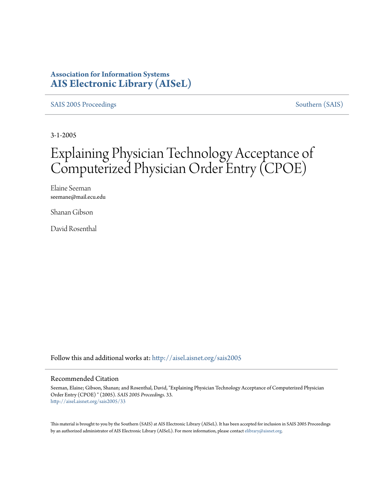#### **Association for Information Systems [AIS Electronic Library \(AISeL\)](http://aisel.aisnet.org?utm_source=aisel.aisnet.org%2Fsais2005%2F33&utm_medium=PDF&utm_campaign=PDFCoverPages)**

[SAIS 2005 Proceedings](http://aisel.aisnet.org/sais2005?utm_source=aisel.aisnet.org%2Fsais2005%2F33&utm_medium=PDF&utm_campaign=PDFCoverPages) [Southern \(SAIS\)](http://aisel.aisnet.org/sais?utm_source=aisel.aisnet.org%2Fsais2005%2F33&utm_medium=PDF&utm_campaign=PDFCoverPages)

3-1-2005

## Explaining Physician Technology Acceptance of Computerized Physician Order Entry (CPOE)

Elaine Seeman seemane@mail.ecu.edu

Shanan Gibson

David Rosenthal

Follow this and additional works at: [http://aisel.aisnet.org/sais2005](http://aisel.aisnet.org/sais2005?utm_source=aisel.aisnet.org%2Fsais2005%2F33&utm_medium=PDF&utm_campaign=PDFCoverPages)

#### Recommended Citation

Seeman, Elaine; Gibson, Shanan; and Rosenthal, David, "Explaining Physician Technology Acceptance of Computerized Physician Order Entry (CPOE) " (2005). *SAIS 2005 Proceedings*. 33. [http://aisel.aisnet.org/sais2005/33](http://aisel.aisnet.org/sais2005/33?utm_source=aisel.aisnet.org%2Fsais2005%2F33&utm_medium=PDF&utm_campaign=PDFCoverPages)

This material is brought to you by the Southern (SAIS) at AIS Electronic Library (AISeL). It has been accepted for inclusion in SAIS 2005 Proceedings by an authorized administrator of AIS Electronic Library (AISeL). For more information, please contact [elibrary@aisnet.org](mailto:elibrary@aisnet.org%3E).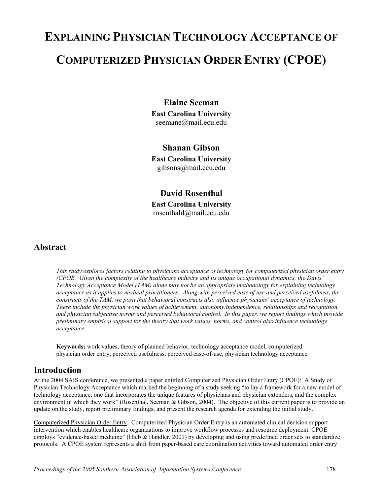# **EXPLAINING PHYSICIAN TECHNOLOGY ACCEPTANCE OF COMPUTERIZED PHYSICIAN ORDER ENTRY (CPOE)**

#### **Elaine Seeman**

**East Carolina University**  seemane@mail.ecu.edu

#### **Shanan Gibson**

**East Carolina University**  gibsons@mail.ecu.edu

**David Rosenthal East Carolina University**  rosenthald@mail.ecu.edu

#### **Abstract**

*This study explores factors relating to physicians acceptance of technology for computerized physician order entry (CPOE. Given the complexity of the healthcare industry and its unique occupational dynamics, the Davis' Technology Acceptance Model (TAM) alone may not be an appropriate methodology for explaining technology acceptance as it applies to medical practitioners. Along with perceived ease of use and perceived usefulness, the constructs of the TAM, we posit that behavioral constructs also influence physicians' acceptance of technology. These include the physician work values of achievement, autonomy/independence, relationships and recognition, and physician subjective norms and perceived behavioral control. In this paper, we report findings which provide preliminary empirical support for the theory that work values, norms, and control also influence technology acceptance.* 

**Keywords:** work values, theory of planned behavior, technology acceptance model, computerized physician order entry, perceived usefulness, perceived ease-of-use, physician technology acceptance

#### **Introduction**

At the 2004 SAIS conference, we presented a paper entitled Computerized Physician Order Entry (CPOE): A Study of Physician Technology Acceptance which marked the beginning of a study seeking "to lay a framework for a new model of technology acceptance; one that incorporates the unique features of physicians and physician extenders, and the complex environment in which they work" (Rosenthal, Seeman & Gibson, 2004). The objective of this current paper is to provide an update on the study, report preliminary findings, and present the research agenda for extending the initial study.

Computerized Physician Order Entry. Computerized Physician Order Entry is an automated clinical decision support intervention which enables healthcare organizations to improve workflow processes and resource deployment. CPOE employs "evidence-based medicine" (Hieb & Handler, 2001) by developing and using predefined order sets to standardize protocols. A CPOE system represents a shift from paper-based care coordination activities toward automated order entry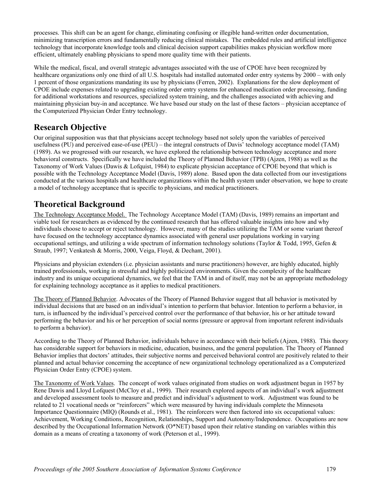processes. This shift can be an agent for change, eliminating confusing or illegible hand-written order documentation, minimizing transcription errors and fundamentally reducing clinical mistakes. The embedded rules and artificial intelligence technology that incorporate knowledge tools and clinical decision support capabilities makes physician workflow more efficient, ultimately enabling physicians to spend more quality time with their patients.

While the medical, fiscal, and overall strategic advantages associated with the use of CPOE have been recognized by healthcare organizations only one third of all U.S. hospitals had installed automated order entry systems by 2000 – with only 1 percent of those organizations mandating its use by physicians (Ferren, 2002). Explanations for the slow deployment of CPOE include expenses related to upgrading existing order entry systems for enhanced medication order processing, funding for additional workstations and resources, specialized system training, and the challenges associated with achieving and maintaining physician buy-in and acceptance. We have based our study on the last of these factors – physician acceptance of the Computerized Physician Order Entry technology.

#### **Research Objective**

Our original supposition was that that physicians accept technology based not solely upon the variables of perceived usefulness (PU) and perceived ease-of-use (PEU) – the integral constructs of Davis' technology acceptance model (TAM) (1989). As we progressed with our research, we have explored the relationship between technology acceptance and more behavioral constructs. Specifically we have included the Theory of Planned Behavior (TPB) (Ajzen, 1988) as well as the Taxonomy of Work Values (Dawis & Lofquist, 1984) to explicate physician acceptance of CPOE beyond that which is possible with the Technology Acceptance Model (Davis, 1989) alone. Based upon the data collected from our investigations conducted at the various hospitals and healthcare organizations within the health system under observation, we hope to create a model of technology acceptance that is specific to physicians, and medical practitioners.

#### **Theoretical Background**

The Technology Acceptance Model. The Technology Acceptance Model (TAM) (Davis, 1989) remains an important and viable tool for researchers as evidenced by the continued research that has offered valuable insights into how and why individuals choose to accept or reject technology. However, many of the studies utilizing the TAM or some variant thereof have focused on the technology acceptance dynamics associated with general user populations working in varying occupational settings, and utilizing a wide spectrum of information technology solutions (Taylor & Todd, 1995, Gefen & Straub, 1997; Venkatesh & Morris, 2000, Veiga, Floyd, & Dechant, 2001).

Physicians and physician extenders (i.e. physician assistants and nurse practitioners) however, are highly educated, highly trained professionals, working in stressful and highly politicized environments. Given the complexity of the healthcare industry and its unique occupational dynamics, we feel that the TAM in and of itself, may not be an appropriate methodology for explaining technology acceptance as it applies to medical practitioners.

The Theory of Planned Behavior. Advocates of the Theory of Planned Behavior suggest that all behavior is motivated by individual decisions that are based on an individual's intention to perform that behavior. Intention to perform a behavior, in turn, is influenced by the individual's perceived control over the performance of that behavior, his or her attitude toward performing the behavior and his or her perception of social norms (pressure or approval from important referent individuals to perform a behavior).

According to the Theory of Planned Behavior, individuals behave in accordance with their beliefs (Ajzen, 1988). This theory has considerable support for behaviors in medicine, education, business, and the general population. The Theory of Planned Behavior implies that doctors' attitudes, their subjective norms and perceived behavioral control are positively related to their planned and actual behavior concerning the acceptance of new organizational technology operationalized as a Computerized Physician Order Entry (CPOE) system.

The Taxonomy of Work Values. The concept of work values originated from studies on work adjustment begun in 1957 by Rene Dawis and Lloyd Lofquest (McCloy et al., 1999). Their research explored aspects of an individual's work adjustment and developed assessment tools to measure and predict and individual's adjustment to work. Adjustment was found to be related to 21 vocational needs or "reinforcers" which were measured by having individuals complete the Minnesota Importance Questionnaire (MIQ) (Rounds et al., 1981). The reinforcers were then factored into six occupational values: Achievement, Working Conditions, Recognition, Relationships, Support and Autonomy/Independence. Occupations are now described by the Occupational Information Network (O\*NET) based upon their relative standing on variables within this domain as a means of creating a taxonomy of work (Peterson et al., 1999).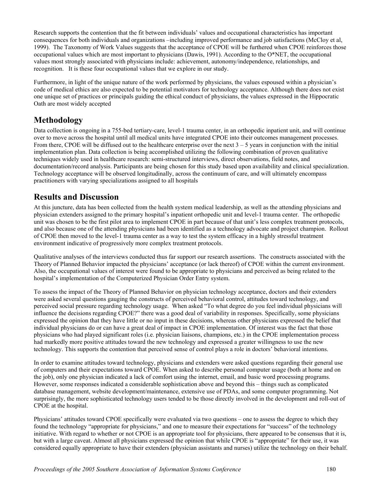Research supports the contention that the fit between individuals' values and occupational characteristics has important consequences for both individuals and organizations –including improved performance and job satisfactions (McCloy et al, 1999). The Taxonomy of Work Values suggests that the acceptance of CPOE will be furthered when CPOE reinforces those occupational values which are most important to physicians (Dawis, 1991). According to the  $O^*NET$ , the occupational values most strongly associated with physicians include: achievement, autonomy/independence, relationships, and recognition. It is these four occupational values that we explore in our study.

Furthermore, in light of the unique nature of the work performed by physicians, the values espoused within a physician's code of medical ethics are also expected to be potential motivators for technology acceptance. Although there does not exist one unique set of practices or principals guiding the ethical conduct of physicians, the values expressed in the Hippocratic Oath are most widely accepted

### **Methodology**

Data collection is ongoing in a 755-bed tertiary-care, level-1 trauma center, in an orthopedic inpatient unit, and will continue over to move across the hospital until all medical units have integrated CPOE into their outcomes management processes. From there, CPOE will be diffused out to the healthcare enterprise over the next  $3 - 5$  years in conjunction with the initial implementation plan. Data collection is being accomplished utilizing the following combination of proven qualitative techniques widely used in healthcare research: semi-structured interviews, direct observations, field notes, and documentation/record analysis. Participants are being chosen for this study based upon availability and clinical specialization. Technology acceptance will be observed longitudinally, across the continuum of care, and will ultimately encompass practitioners with varying specializations assigned to all hospitals

#### **Results and Discussion**

At this juncture, data has been collected from the health system medical leadership, as well as the attending physicians and physician extenders assigned to the primary hospital's inpatient orthopedic unit and level-1 trauma center. The orthopedic unit was chosen to be the first pilot area to implement CPOE in part because of that unit's less complex treatment protocols, and also because one of the attending physicians had been identified as a technology advocate and project champion. Rollout of CPOE then moved to the level-1 trauma center as a way to test the system efficacy in a highly stressful treatment environment indicative of progressively more complex treatment protocols.

Qualitative analyses of the interviews conducted thus far support our research assertions. The constructs associated with the Theory of Planned Behavior impacted the physicians' acceptance (or lack thereof) of CPOE within the current environment. Also, the occupational values of interest were found to be appropriate to physicians and perceived as being related to the hospital's implementation of the Computerized Physician Order Entry system.

To assess the impact of the Theory of Planned Behavior on physician technology acceptance, doctors and their extenders were asked several questions gauging the constructs of perceived behavioral control, attitudes toward technology, and perceived social pressure regarding technology usage. When asked "To what degree do you feel individual physicians will influence the decisions regarding CPOE?" there was a good deal of variability in responses. Specifically, some physicians expressed the opinion that they have little or no input in these decisions, whereas other physicians expressed the belief that individual physicians do or can have a great deal of impact in CPOE implementation. Of interest was the fact that those physicians who had played significant roles (i.e. physician liaisons, champions, etc.) in the CPOE implementation process had markedly more positive attitudes toward the new technology and expressed a greater willingness to use the new technology. This supports the contention that perceived sense of control plays a role in doctors' behavioral intentions.

In order to examine attitudes toward technology, physicians and extenders were asked questions regarding their general use of computers and their expectations toward CPOE. When asked to describe personal computer usage (both at home and on the job), only one physician indicated a lack of comfort using the internet, email, and basic word processing programs. However, some responses indicated a considerable sophistication above and beyond this – things such as complicated database management, website development/maintenance, extensive use of PDAs, and some computer programming. Not surprisingly, the more sophisticated technology users tended to be those directly involved in the development and roll-out of CPOE at the hospital.

Physicians' attitudes toward CPOE specifically were evaluated via two questions – one to assess the degree to which they found the technology "appropriate for physicians," and one to measure their expectations for "success" of the technology initiative. With regard to whether or not CPOE is an appropriate tool for physicians, there appeared to be consensus that it is, but with a large caveat. Almost all physicians expressed the opinion that while CPOE is "appropriate" for their use, it was considered equally appropriate to have their extenders (physician assistants and nurses) utilize the technology on their behalf.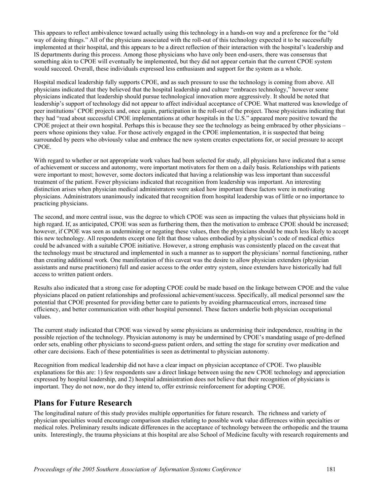This appears to reflect ambivalence toward actually using this technology in a hands-on way and a preference for the "old way of doing things." All of the physicians associated with the roll-out of this technology expected it to be successfully implemented at their hospital, and this appears to be a direct reflection of their interaction with the hospital's leadership and IS departments during this process. Among those physicians who have only been end-users, there was consensus that something akin to CPOE will eventually be implemented, but they did not appear certain that the current CPOE system would succeed. Overall, these individuals expressed less enthusiasm and support for the system as a whole.

Hospital medical leadership fully supports CPOE, and as such pressure to use the technology is coming from above. All physicians indicated that they believed that the hospital leadership and culture "embraces technology," however some physicians indicated that leadership should pursue technological innovation more aggressively. It should be noted that leadership's support of technology did not appear to affect individual acceptance of CPOE. What mattered was knowledge of peer institutions' CPOE projects and, once again, participation in the roll-out of the project. Those physicians indicating that they had "read about successful CPOE implementations at other hospitals in the U.S." appeared more positive toward the CPOE project at their own hospital. Perhaps this is because they see the technology as being embraced by other physicians – peers whose opinions they value. For those actively engaged in the CPOE implementation, it is suspected that being surrounded by peers who obviously value and embrace the new system creates expectations for, or social pressure to accept CPOE.

With regard to whether or not appropriate work values had been selected for study, all physicians have indicated that a sense of achievement or success and autonomy, were important motivators for them on a daily basis. Relationships with patients were important to most; however, some doctors indicated that having a relationship was less important than successful treatment of the patient. Fewer physicians indicated that recognition from leadership was important. An interesting distinction arises when physician medical administrators were asked how important these factors were in motivating physicians. Administrators unanimously indicated that recognition from hospital leadership was of little or no importance to practicing physicians.

The second, and more central issue, was the degree to which CPOE was seen as impacting the values that physicians hold in high regard. If, as anticipated, CPOE was seen as furthering them, then the motivation to embrace CPOE should be increased; however, if CPOE was seen as undermining or negating these values, then the physicians should be much less likely to accept this new technology. All respondents except one felt that those values embodied by a physician's code of medical ethics could be advanced with a suitable CPOE initiative. However, a strong emphasis was consistently placed on the caveat that the technology must be structured and implemented in such a manner as to support the physicians' normal functioning, rather than creating additional work. One manifestation of this caveat was the desire to allow physician extenders (physician assistants and nurse practitioners) full and easier access to the order entry system, since extenders have historically had full access to written patient orders.

Results also indicated that a strong case for adopting CPOE could be made based on the linkage between CPOE and the value physicians placed on patient relationships and professional achievement/success. Specifically, all medical personnel saw the potential that CPOE presented for providing better care to patients by avoiding pharmaceutical errors, increased time efficiency, and better communication with other hospital personnel. These factors underlie both physician occupational values.

The current study indicated that CPOE was viewed by some physicians as undermining their independence, resulting in the possible rejection of the technology. Physician autonomy is may be undermined by CPOE's mandating usage of pre-defined order sets, enabling other physicians to second-guess patient orders, and setting the stage for scrutiny over medication and other care decisions. Each of these potentialities is seen as detrimental to physician autonomy.

Recognition from medical leadership did not have a clear impact on physician acceptance of CPOE. Two plausible explanations for this are: 1) few respondents saw a direct linkage between using the new CPOE technology and appreciation expressed by hospital leadership, and 2) hospital administration does not believe that their recognition of physicians is important. They do not now, nor do they intend to, offer extrinsic reinforcement for adopting CPOE.

#### **Plans for Future Research**

The longitudinal nature of this study provides multiple opportunities for future research. The richness and variety of physician specialties would encourage comparison studies relating to possible work value differences within specialties or medical roles. Preliminary results indicate differences in the acceptance of technology between the orthopedic and the trauma units. Interestingly, the trauma physicians at this hospital are also School of Medicine faculty with research requirements and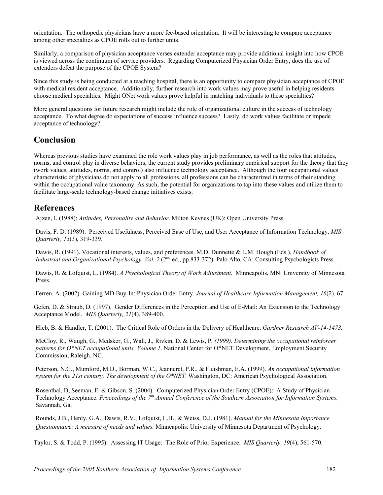orientation. The orthopedic physicians have a more fee-based orientation. It will be interesting to compare acceptance among other specialties as CPOE rolls out to further units.

Similarly, a comparison of physician acceptance verses extender acceptance may provide additional insight into how CPOE is viewed across the continuum of service providers. Regarding Computerized Physician Order Entry, does the use of extenders defeat the purpose of the CPOE System?

Since this study is being conducted at a teaching hospital, there is an opportunity to compare physician acceptance of CPOE with medical resident acceptance. Additionally, further research into work values may prove useful in helping residents choose medical specialties. Might ONet work values prove helpful in matching individuals to these specialties?

More general questions for future research might include the role of organizational culture in the success of technology acceptance. To what degree do expectations of success influence success? Lastly, do work values facilitate or impede acceptance of technology?

#### **Conclusion**

Whereas previous studies have examined the role work values play in job performance, as well as the roles that attitudes, norms, and control play in diverse behaviors, the current study provides preliminary empirical support for the theory that they (work values, attitudes, norms, and control) also influence technology acceptance. Although the four occupational values characteristic of physicians do not apply to all professions, all professions can be characterized in terms of their standing within the occupational value taxonomy. As such, the potential for organizations to tap into these values and utilize them to facilitate large-scale technology-based change initiatives exists.

#### **References**

Ajzen, I. (1988): *Attitudes, Personality and Behavior*. Milton Keynes (UK): Open University Press.

Davis, F. D. (1989). Perceived Usefulness, Perceived Ease of Use, and User Acceptance of Information Technology. *MIS Quarterly, 13*(3), 319-339.

Dawis, R. (1991). Vocational interests, values, and preferences. M.D. Dunnette & L.M. Hough (Eds.), *Handbook of Industrial and Organizational Psychology, Vol. 2* (2<sup>nd</sup> ed., pp.833-372). Palo Alto, CA: Consulting Psychologists Press.

Dawis, R. & Lofquist, L. (1984). *A Psychological Theory of Work Adjustment.* Minneapolis, MN: University of Minnesota Press.

Ferren, A. (2002). Gaining MD Buy-In: Physician Order Entry. *Journal of Healthcare Information Management, 16*(2), 67.

Gefen, D. & Straub, D. (1997). Gender Differences in the Perception and Use of E-Mail: An Extension to the Technology Acceptance Model. *MIS Quarterly, 21*(4), 389-400.

Hieb, B. & Handler, T. (2001). The Critical Role of Orders in the Delivery of Healthcare. *Gardner Research AV-14-1473.* 

McCloy, R., Waugh, G., Medsker, G., Wall, J., Rivkin, D. & Lewis, P*. (1999). Determining the occupational reinforcer patterns for O\*NET occupational units. Volume 1*. National Center for O\*NET Development, Employment Security Commission, Raleigh, NC.

Peterson, N.G., Mumford, M.D., Borman, W.C., Jeanneret, P.R., & Fleishman, E.A. (1999). *An occupational information system for the 21st century: The development of the O\*NET*. Washington, DC: American Psychological Association.

Rosenthal, D, Seeman, E. & Gibson, S. (2004). Computerized Physician Order Entry (CPOE): A Study of Physician Technology Acceptance. *Proceedings of the 7th Annual Conference of the Southern Association for Information Systems,*  Savannah, Ga.

Rounds, J.B., Henly, G.A., Dawis, R.V., Lofquist, L.H., & Weiss, D.J. (1981). *Manual for the Minnesota Importance Questionnaire: A measure of needs and values.* Minneapolis: University of Minnesota Department of Psychology.

Taylor, S. & Todd, P. (1995). Assessing IT Usage: The Role of Prior Experience. *MIS Quarterly, 19*(4), 561-570.